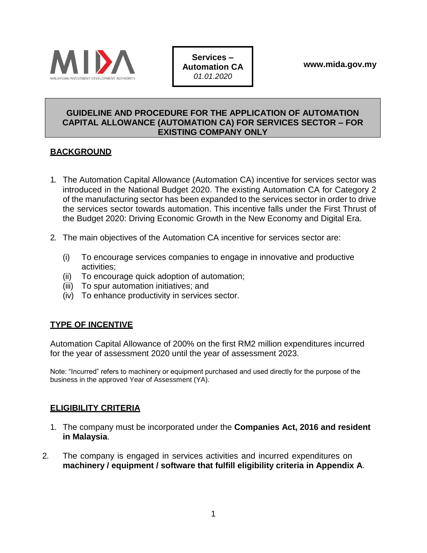

**Services – Automation CA**  *01.01.2020*

#### **GUIDELINE AND PROCEDURE FOR THE APPLICATION OF AUTOMATION CAPITAL ALLOWANCE (AUTOMATION CA) FOR SERVICES SECTOR – FOR EXISTING COMPANY ONLY**

### **BACKGROUND**

- 1. The Automation Capital Allowance (Automation CA) incentive for services sector was introduced in the National Budget 2020. The existing Automation CA for Category 2 of the manufacturing sector has been expanded to the services sector in order to drive the services sector towards automation. This incentive falls under the First Thrust of the Budget 2020: Driving Economic Growth in the New Economy and Digital Era.
- 2. The main objectives of the Automation CA incentive for services sector are:
	- (i) To encourage services companies to engage in innovative and productive activities;
	- (ii) To encourage quick adoption of automation;
	- (iii) To spur automation initiatives; and
	- (iv) To enhance productivity in services sector.

# **TYPE OF INCENTIVE**

Automation Capital Allowance of 200% on the first RM2 million expenditures incurred for the year of assessment 2020 until the year of assessment 2023.

Note: "Incurred" refers to machinery or equipment purchased and used directly for the purpose of the business in the approved Year of Assessment (YA).

#### **ELIGIBILITY CRITERIA**

- 1. The company must be incorporated under the **Companies Act, 2016 and resident in Malaysia**.
- 2. The company is engaged in services activities and incurred expenditures on **machinery / equipment / software that fulfill eligibility criteria in Appendix A**.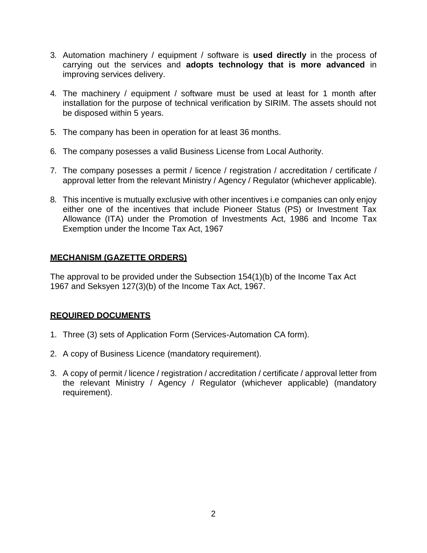- 3. Automation machinery / equipment / software is **used directly** in the process of carrying out the services and **adopts technology that is more advanced** in improving services delivery.
- 4. The machinery / equipment / software must be used at least for 1 month after installation for the purpose of technical verification by SIRIM. The assets should not be disposed within 5 years.
- 5. The company has been in operation for at least 36 months.
- 6. The company posesses a valid Business License from Local Authority.
- 7. The company posesses a permit / licence / registration / accreditation / certificate / approval letter from the relevant Ministry / Agency / Regulator (whichever applicable).
- 8. This incentive is mutually exclusive with other incentives i.e companies can only enjoy either one of the incentives that include Pioneer Status (PS) or Investment Tax Allowance (ITA) under the Promotion of Investments Act, 1986 and Income Tax Exemption under the Income Tax Act, 1967

# **MECHANISM (GAZETTE ORDERS)**

The approval to be provided under the Subsection 154(1)(b) of the Income Tax Act 1967 and Seksyen 127(3)(b) of the Income Tax Act, 1967.

# **REQUIRED DOCUMENTS**

- 1. Three (3) sets of Application Form (Services-Automation CA form).
- 2. A copy of Business Licence (mandatory requirement).
- 3. A copy of permit / licence / registration / accreditation / certificate / approval letter from the relevant Ministry / Agency / Regulator (whichever applicable) (mandatory requirement).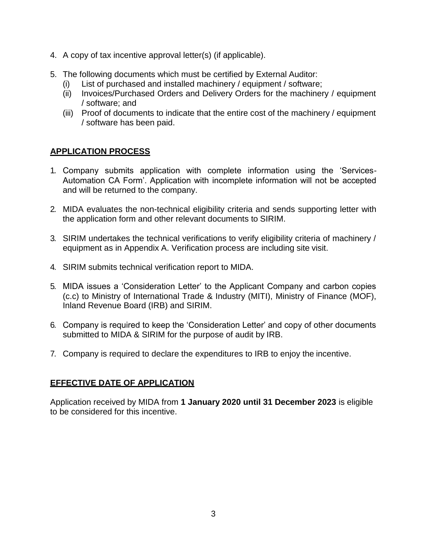- 4. A copy of tax incentive approval letter(s) (if applicable).
- 5. The following documents which must be certified by External Auditor:
	- (i) List of purchased and installed machinery / equipment / software;
	- (ii) Invoices/Purchased Orders and Delivery Orders for the machinery / equipment / software; and
	- (iii) Proof of documents to indicate that the entire cost of the machinery / equipment / software has been paid.

# **APPLICATION PROCESS**

- 1. Company submits application with complete information using the 'Services-Automation CA Form'. Application with incomplete information will not be accepted and will be returned to the company.
- 2. MIDA evaluates the non-technical eligibility criteria and sends supporting letter with the application form and other relevant documents to SIRIM.
- 3. SIRIM undertakes the technical verifications to verify eligibility criteria of machinery / equipment as in Appendix A. Verification process are including site visit.
- 4. SIRIM submits technical verification report to MIDA.
- 5. MIDA issues a 'Consideration Letter' to the Applicant Company and carbon copies (c.c) to Ministry of International Trade & Industry (MITI), Ministry of Finance (MOF), Inland Revenue Board (IRB) and SIRIM.
- 6. Company is required to keep the 'Consideration Letter' and copy of other documents submitted to MIDA & SIRIM for the purpose of audit by IRB.
- 7. Company is required to declare the expenditures to IRB to enjoy the incentive.

#### **EFFECTIVE DATE OF APPLICATION**

Application received by MIDA from **1 January 2020 until 31 December 2023** is eligible to be considered for this incentive.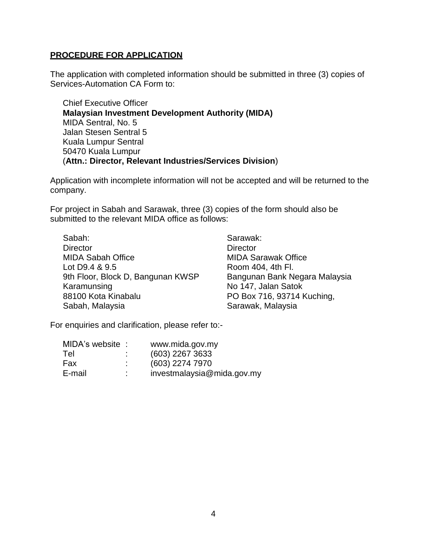#### **PROCEDURE FOR APPLICATION**

The application with completed information should be submitted in three (3) copies of Services-Automation CA Form to:

Chief Executive Officer **Malaysian Investment Development Authority (MIDA)** MIDA Sentral, No. 5 Jalan Stesen Sentral 5 Kuala Lumpur Sentral 50470 Kuala Lumpur (**Attn.: Director, Relevant Industries/Services Division**)

Application with incomplete information will not be accepted and will be returned to the company.

For project in Sabah and Sarawak, three (3) copies of the form should also be submitted to the relevant MIDA office as follows:

| Sabah:                            |
|-----------------------------------|
| <b>Director</b>                   |
| <b>MIDA Sabah Office</b>          |
| Lot D9.4 & 9.5                    |
| 9th Floor, Block D, Bangunan KWSP |
| Karamunsing                       |
| 88100 Kota Kinabalu               |
| Sabah, Malaysia                   |

Sarawak: **Director** MIDA Sarawak Office Room 404, 4th Fl. Bangunan Bank Negara Malaysia No 147, Jalan Satok PO Box 716, 93714 Kuching, Sarawak, Malaysia

For enquiries and clarification, please refer to:-

| MIDA's website : |                     | www.mida.gov.my            |
|------------------|---------------------|----------------------------|
| Tel              | ٠<br>$\blacksquare$ | (603) 2267 3633            |
| Fax              | ٠                   | (603) 2274 7970            |
| E-mail           | ٠                   | investmalaysia@mida.gov.my |